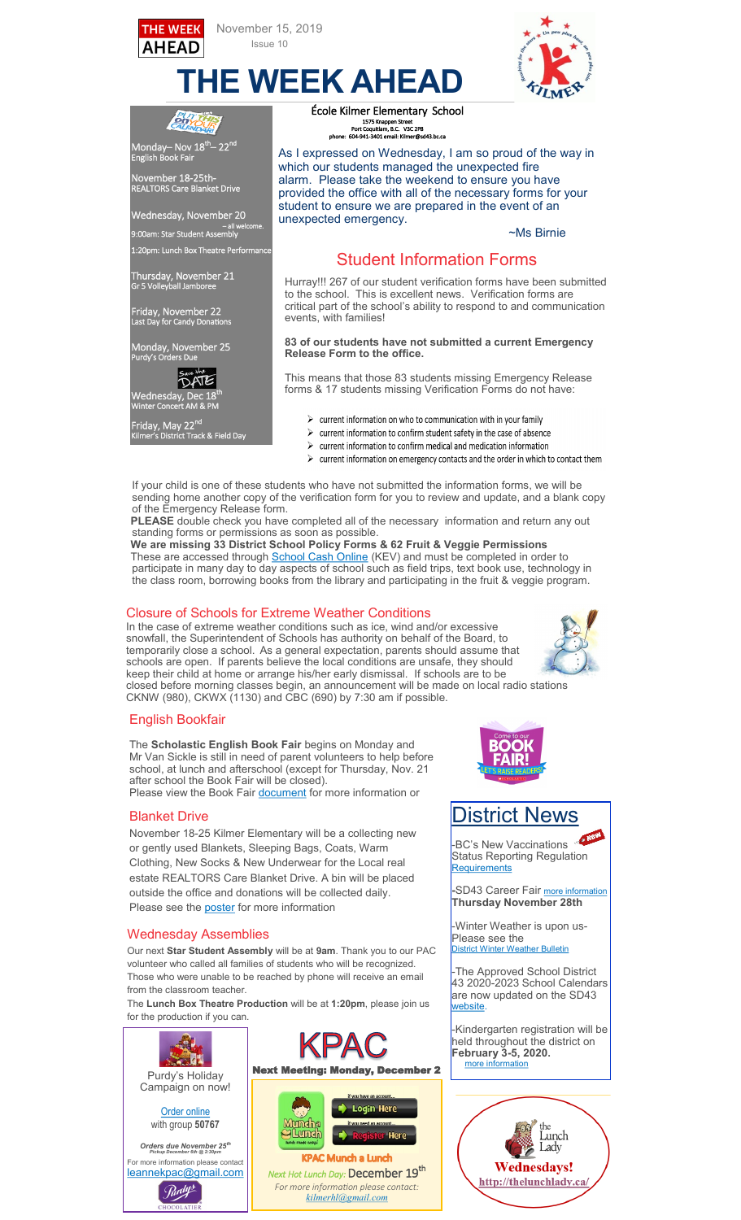



~Ms Birnie

**THE WEEK AHEAD**

unexpected emergency.

École Kilmer Elementary School 1575 Knappen Street Port Coquitlam, B.C. V3C 2P8 1575 Kn<br>Port Coquitla<br>مموجود 604-941



English Book Fair

**AHEAD** 

November 18-25th- REALTORS Care Blanket Drive

Wednesday, November 20 – all welcome. 9:00am: Star Student Assembly

1:20pm: Lunch Box Theatre Performance

Thursday, November 21 Gr 5 Volleyball Jamboree

Friday, November 22 Last Day for Candy Donations

Monday, November 25 Purdy's Orders Due



Friday, May 22<sup>nd</sup>

Kilmer's District Track & Field Day

to the school. This is excellent news. Verification forms are critical part of the school's ability to respond to and communication events, with families!

> **83 of our students have not submitted a current Emergency Release Form to the office.**

 Student Information Forms Hurray!!! 267 of our student verification forms have been submitted

As I expressed on Wednesday, I am so proud of the way in

which our students managed the unexpected fire alarm. Please take the weekend to ensure you have provided the office with all of the necessary forms for your student to ensure we are prepared in the event of an

This means that those 83 students missing Emergency Release forms & 17 students missing Verification Forms do not have:

- $\triangleright$  current information on who to communication with in your family
- $\triangleright$  current information to confirm student safety in the case of absence
- $\triangleright$  current information to confirm medical and medication information
- $\triangleright$  current information on emergency contacts and the order in which to contact them

If your child is one of these students who have not submitted the information forms, we will be sending home another copy of the verification form for you to review and update, and a blank copy of the Emergency Release form.

 **PLEASE** double check you have completed all of the necessary information and return any out standing forms or permissions as soon as possible.

 **We are missing 33 District School Policy Forms & 62 Fruit & Veggie Permissions** These are accessed through [School Cash Online](http://sd43.schoolcashonline.com/Home/SignIn) (KEV) and must be completed in order to participate in many day to day aspects of school such as field trips, text book use, technology in the class room, borrowing books from the library and participating in the fruit & veggie program.

#### Closure of Schools for Extreme Weather Conditions

In the case of extreme weather conditions such as ice, wind and/or excessive snowfall, the Superintendent of Schools has authority on behalf of the Board, to temporarily close a school. As a general expectation, parents should assume that schools are open. If parents believe the local conditions are unsafe, they should keep their child at home or arrange his/her early dismissal. If schools are to be



closed before morning classes begin, an announcement will be made on local radio stations CKNW (980), CKWX (1130) and CBC (690) by 7:30 am if possible.

*[kilmerhl@gmail.com](mailto:kilmerhl@gmail.com)*

### English Bookfair

The **Scholastic English Book Fair** begins on Monday and Mr Van Sickle is still in need of parent volunteers to help before school, at lunch and afterschool (except for Thursday, Nov. 21 after school the Book Fair will be closed). Please view the Book Fair [document](https://www.sd43.bc.ca/school/kilmer/Documents/English%20Book%20Fair%202019.pdf) for more information or

### Blanket Drive

November 18-25 Kilmer Elementary will be a collecting new or gently used Blankets, Sleeping Bags, Coats, Warm Clothing, New Socks & New Underwear for the Local real estate REALTORS Care Blanket Drive. A bin will be placed outside the office and donations will be collected daily. Please see the [poster](https://www.sd43.bc.ca/school/kilmer/Documents/blanket%20drive%20flyer.pdf) for more information

### Wednesday Assemblies

Our next **Star Student Assembly** will be at **9am**. Thank you to our PAC volunteer who called all families of students who will be recognized. Those who were unable to be reached by phone will receive an email from the classroom teacher.

The **Lunch Box Theatre Production** will be at **1:20pm**, please join us for the production if you can.





## District News

-BC's New Vaccinations Status Reporting Regulation [Requirements](https://www.sd43.bc.ca/Lists/Documents/Parent%20Guardian%20Letter%20for%20VSRR.PDF)

**-SD43 Career Fair more informat Thursday November 28th** 

-Winter Weather is upon us-Please see the **Vistrict Winter Weather Bulletin** 

-The Approved School District 43 2020-2023 School Calendars are now updated on the SD43 [website.](https://www.sd43.bc.ca/NewsEvents/AMYCalendar/Pages/default.aspx#/=)

-Kindergarten registration will be held throughout the district on **February 3-5, 2020.**  [more information](https://www.sd43.bc.ca/Schools/Pages/KindergartenRegistration.aspx#/=)